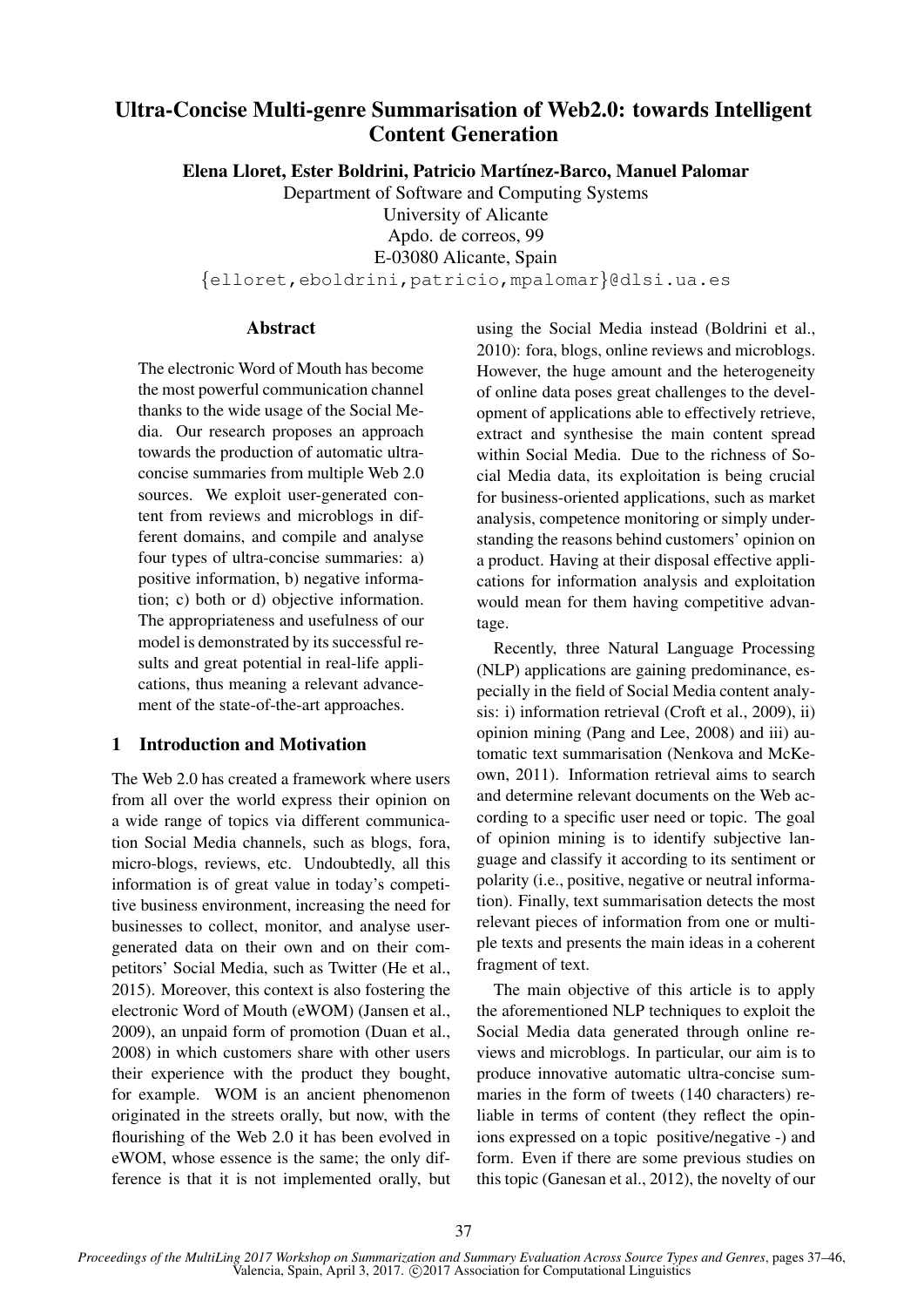# Ultra-Concise Multi-genre Summarisation of Web2.0: towards Intelligent Content Generation

Elena Lloret, Ester Boldrini, Patricio Martínez-Barco, Manuel Palomar

Department of Software and Computing Systems University of Alicante Apdo. de correos, 99

E-03080 Alicante, Spain

{elloret,eboldrini,patricio,mpalomar}@dlsi.ua.es

#### **Abstract**

The electronic Word of Mouth has become the most powerful communication channel thanks to the wide usage of the Social Media. Our research proposes an approach towards the production of automatic ultraconcise summaries from multiple Web 2.0 sources. We exploit user-generated content from reviews and microblogs in different domains, and compile and analyse four types of ultra-concise summaries: a) positive information, b) negative information; c) both or d) objective information. The appropriateness and usefulness of our model is demonstrated by its successful results and great potential in real-life applications, thus meaning a relevant advancement of the state-of-the-art approaches.

## 1 Introduction and Motivation

The Web 2.0 has created a framework where users from all over the world express their opinion on a wide range of topics via different communication Social Media channels, such as blogs, fora, micro-blogs, reviews, etc. Undoubtedly, all this information is of great value in today's competitive business environment, increasing the need for businesses to collect, monitor, and analyse usergenerated data on their own and on their competitors' Social Media, such as Twitter (He et al., 2015). Moreover, this context is also fostering the electronic Word of Mouth (eWOM) (Jansen et al., 2009), an unpaid form of promotion (Duan et al., 2008) in which customers share with other users their experience with the product they bought, for example. WOM is an ancient phenomenon originated in the streets orally, but now, with the flourishing of the Web 2.0 it has been evolved in eWOM, whose essence is the same; the only difference is that it is not implemented orally, but using the Social Media instead (Boldrini et al., 2010): fora, blogs, online reviews and microblogs. However, the huge amount and the heterogeneity of online data poses great challenges to the development of applications able to effectively retrieve, extract and synthesise the main content spread within Social Media. Due to the richness of Social Media data, its exploitation is being crucial for business-oriented applications, such as market analysis, competence monitoring or simply understanding the reasons behind customers' opinion on a product. Having at their disposal effective applications for information analysis and exploitation would mean for them having competitive advantage.

Recently, three Natural Language Processing (NLP) applications are gaining predominance, especially in the field of Social Media content analysis: i) information retrieval (Croft et al., 2009), ii) opinion mining (Pang and Lee, 2008) and iii) automatic text summarisation (Nenkova and McKeown, 2011). Information retrieval aims to search and determine relevant documents on the Web according to a specific user need or topic. The goal of opinion mining is to identify subjective language and classify it according to its sentiment or polarity (i.e., positive, negative or neutral information). Finally, text summarisation detects the most relevant pieces of information from one or multiple texts and presents the main ideas in a coherent fragment of text.

The main objective of this article is to apply the aforementioned NLP techniques to exploit the Social Media data generated through online reviews and microblogs. In particular, our aim is to produce innovative automatic ultra-concise summaries in the form of tweets (140 characters) reliable in terms of content (they reflect the opinions expressed on a topic positive/negative -) and form. Even if there are some previous studies on this topic (Ganesan et al., 2012), the novelty of our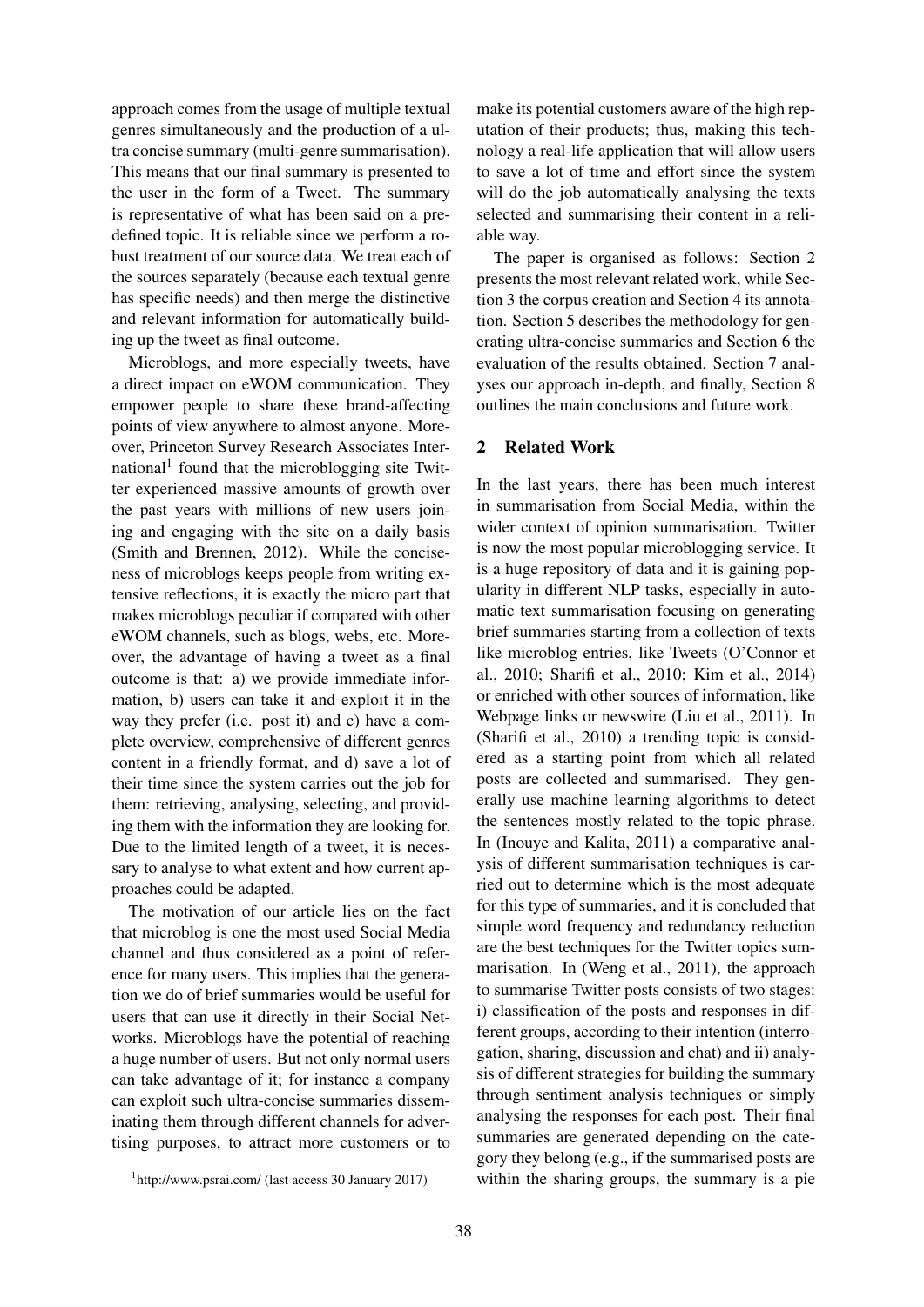approach comes from the usage of multiple textual genres simultaneously and the production of a ultra concise summary (multi-genre summarisation). This means that our final summary is presented to the user in the form of a Tweet. The summary is representative of what has been said on a predefined topic. It is reliable since we perform a robust treatment of our source data. We treat each of the sources separately (because each textual genre has specific needs) and then merge the distinctive and relevant information for automatically building up the tweet as final outcome.

Microblogs, and more especially tweets, have a direct impact on eWOM communication. They empower people to share these brand-affecting points of view anywhere to almost anyone. Moreover, Princeton Survey Research Associates International<sup>1</sup> found that the microblogging site Twitter experienced massive amounts of growth over the past years with millions of new users joining and engaging with the site on a daily basis (Smith and Brennen, 2012). While the conciseness of microblogs keeps people from writing extensive reflections, it is exactly the micro part that makes microblogs peculiar if compared with other eWOM channels, such as blogs, webs, etc. Moreover, the advantage of having a tweet as a final outcome is that: a) we provide immediate information, b) users can take it and exploit it in the way they prefer (i.e. post it) and c) have a complete overview, comprehensive of different genres content in a friendly format, and d) save a lot of their time since the system carries out the job for them: retrieving, analysing, selecting, and providing them with the information they are looking for. Due to the limited length of a tweet, it is necessary to analyse to what extent and how current approaches could be adapted.

The motivation of our article lies on the fact that microblog is one the most used Social Media channel and thus considered as a point of reference for many users. This implies that the generation we do of brief summaries would be useful for users that can use it directly in their Social Networks. Microblogs have the potential of reaching a huge number of users. But not only normal users can take advantage of it; for instance a company can exploit such ultra-concise summaries disseminating them through different channels for advertising purposes, to attract more customers or to

1 http://www.psrai.com/ (last access 30 January 2017)

make its potential customers aware of the high reputation of their products; thus, making this technology a real-life application that will allow users to save a lot of time and effort since the system will do the job automatically analysing the texts selected and summarising their content in a reliable way.

The paper is organised as follows: Section 2 presents the most relevant related work, while Section 3 the corpus creation and Section 4 its annotation. Section 5 describes the methodology for generating ultra-concise summaries and Section 6 the evaluation of the results obtained. Section 7 analyses our approach in-depth, and finally, Section 8 outlines the main conclusions and future work.

#### 2 Related Work

In the last years, there has been much interest in summarisation from Social Media, within the wider context of opinion summarisation. Twitter is now the most popular microblogging service. It is a huge repository of data and it is gaining popularity in different NLP tasks, especially in automatic text summarisation focusing on generating brief summaries starting from a collection of texts like microblog entries, like Tweets (O'Connor et al., 2010; Sharifi et al., 2010; Kim et al., 2014) or enriched with other sources of information, like Webpage links or newswire (Liu et al., 2011). In (Sharifi et al., 2010) a trending topic is considered as a starting point from which all related posts are collected and summarised. They generally use machine learning algorithms to detect the sentences mostly related to the topic phrase. In (Inouye and Kalita, 2011) a comparative analysis of different summarisation techniques is carried out to determine which is the most adequate for this type of summaries, and it is concluded that simple word frequency and redundancy reduction are the best techniques for the Twitter topics summarisation. In (Weng et al., 2011), the approach to summarise Twitter posts consists of two stages: i) classification of the posts and responses in different groups, according to their intention (interrogation, sharing, discussion and chat) and ii) analysis of different strategies for building the summary through sentiment analysis techniques or simply analysing the responses for each post. Their final summaries are generated depending on the category they belong (e.g., if the summarised posts are within the sharing groups, the summary is a pie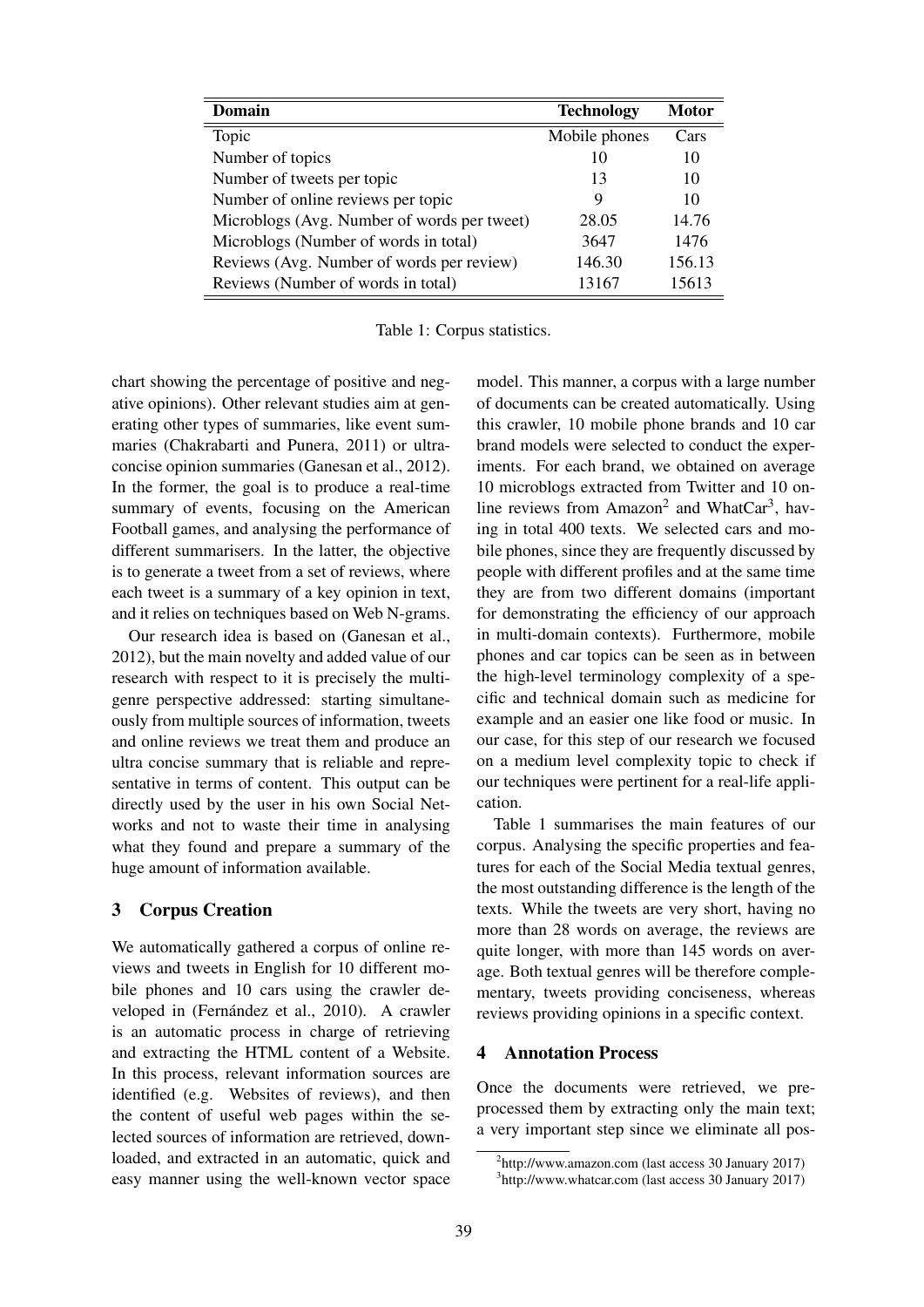| Domain                                      | <b>Technology</b> | <b>Motor</b> |
|---------------------------------------------|-------------------|--------------|
| Topic                                       | Mobile phones     | Cars         |
| Number of topics                            | 10                | 10           |
| Number of tweets per topic                  | 13                | 10           |
| Number of online reviews per topic          | 9                 | 10           |
| Microblogs (Avg. Number of words per tweet) | 28.05             | 14.76        |
| Microblogs (Number of words in total)       | 3647              | 1476         |
| Reviews (Avg. Number of words per review)   | 146.30            | 156.13       |
| Reviews (Number of words in total)          | 13167             | 15613        |

Table 1: Corpus statistics.

chart showing the percentage of positive and negative opinions). Other relevant studies aim at generating other types of summaries, like event summaries (Chakrabarti and Punera, 2011) or ultraconcise opinion summaries (Ganesan et al., 2012). In the former, the goal is to produce a real-time summary of events, focusing on the American Football games, and analysing the performance of different summarisers. In the latter, the objective is to generate a tweet from a set of reviews, where each tweet is a summary of a key opinion in text, and it relies on techniques based on Web N-grams.

Our research idea is based on (Ganesan et al., 2012), but the main novelty and added value of our research with respect to it is precisely the multigenre perspective addressed: starting simultaneously from multiple sources of information, tweets and online reviews we treat them and produce an ultra concise summary that is reliable and representative in terms of content. This output can be directly used by the user in his own Social Networks and not to waste their time in analysing what they found and prepare a summary of the huge amount of information available.

#### 3 Corpus Creation

We automatically gathered a corpus of online reviews and tweets in English for 10 different mobile phones and 10 cars using the crawler developed in (Fernández et al., 2010). A crawler is an automatic process in charge of retrieving and extracting the HTML content of a Website. In this process, relevant information sources are identified (e.g. Websites of reviews), and then the content of useful web pages within the selected sources of information are retrieved, downloaded, and extracted in an automatic, quick and easy manner using the well-known vector space model. This manner, a corpus with a large number of documents can be created automatically. Using this crawler, 10 mobile phone brands and 10 car brand models were selected to conduct the experiments. For each brand, we obtained on average 10 microblogs extracted from Twitter and 10 online reviews from Amazon<sup>2</sup> and WhatCar<sup>3</sup>, having in total 400 texts. We selected cars and mobile phones, since they are frequently discussed by people with different profiles and at the same time they are from two different domains (important for demonstrating the efficiency of our approach in multi-domain contexts). Furthermore, mobile phones and car topics can be seen as in between the high-level terminology complexity of a specific and technical domain such as medicine for example and an easier one like food or music. In our case, for this step of our research we focused on a medium level complexity topic to check if our techniques were pertinent for a real-life application.

Table 1 summarises the main features of our corpus. Analysing the specific properties and features for each of the Social Media textual genres, the most outstanding difference is the length of the texts. While the tweets are very short, having no more than 28 words on average, the reviews are quite longer, with more than 145 words on average. Both textual genres will be therefore complementary, tweets providing conciseness, whereas reviews providing opinions in a specific context.

#### 4 Annotation Process

Once the documents were retrieved, we preprocessed them by extracting only the main text; a very important step since we eliminate all pos-

<sup>2</sup> http://www.amazon.com (last access 30 January 2017)

<sup>3</sup> http://www.whatcar.com (last access 30 January 2017)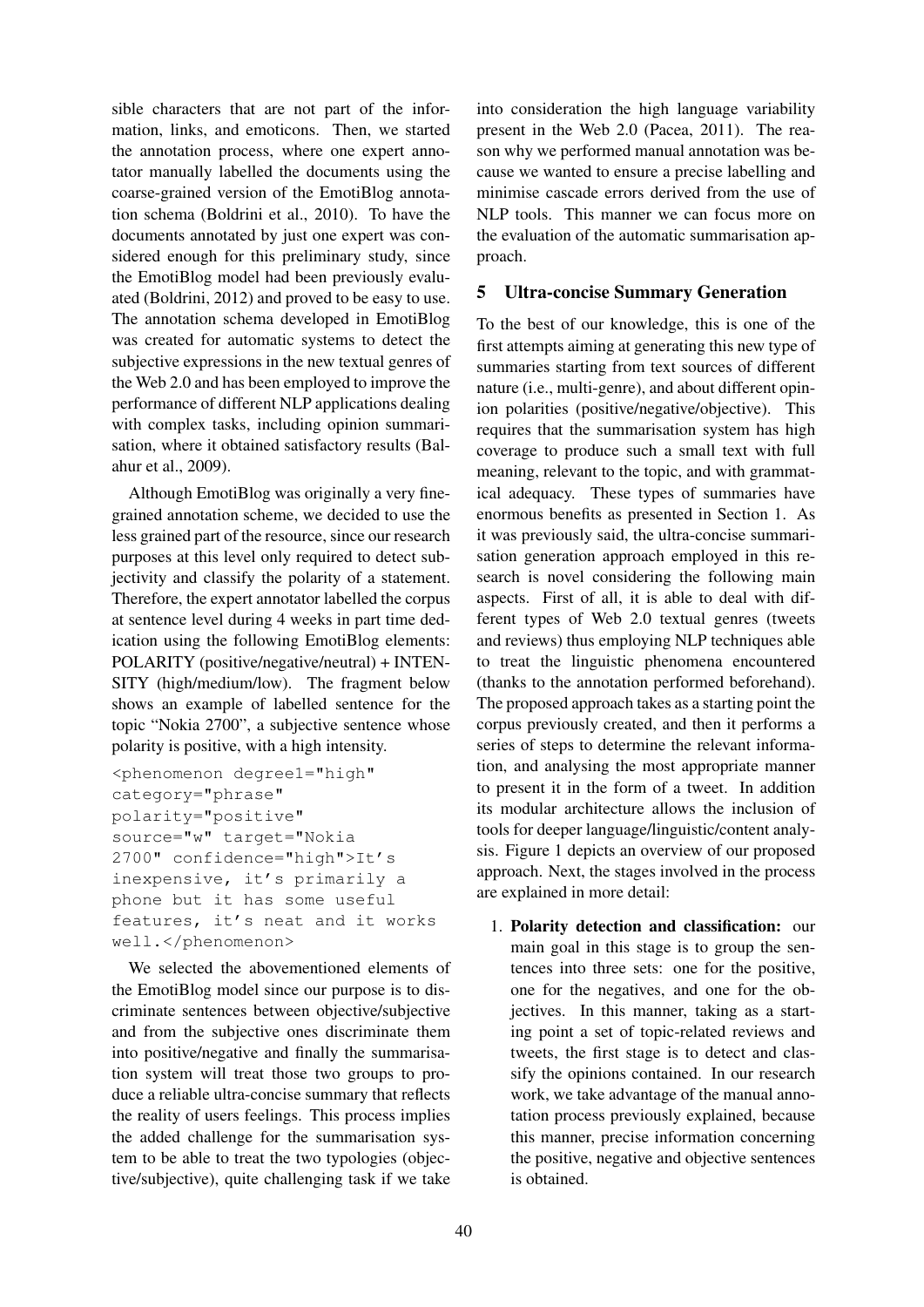sible characters that are not part of the information, links, and emoticons. Then, we started the annotation process, where one expert annotator manually labelled the documents using the coarse-grained version of the EmotiBlog annotation schema (Boldrini et al., 2010). To have the documents annotated by just one expert was considered enough for this preliminary study, since the EmotiBlog model had been previously evaluated (Boldrini, 2012) and proved to be easy to use. The annotation schema developed in EmotiBlog was created for automatic systems to detect the subjective expressions in the new textual genres of the Web 2.0 and has been employed to improve the performance of different NLP applications dealing with complex tasks, including opinion summarisation, where it obtained satisfactory results (Balahur et al., 2009).

Although EmotiBlog was originally a very finegrained annotation scheme, we decided to use the less grained part of the resource, since our research purposes at this level only required to detect subjectivity and classify the polarity of a statement. Therefore, the expert annotator labelled the corpus at sentence level during 4 weeks in part time dedication using the following EmotiBlog elements: POLARITY (positive/negative/neutral) + INTEN-SITY (high/medium/low). The fragment below shows an example of labelled sentence for the topic "Nokia 2700", a subjective sentence whose polarity is positive, with a high intensity.

```
<phenomenon degree1="high"
category="phrase"
polarity="positive"
source="w" target="Nokia
2700" confidence="high">It's
inexpensive, it's primarily a
phone but it has some useful
features, it's neat and it works
well.</phenomenon>
```
We selected the abovementioned elements of the EmotiBlog model since our purpose is to discriminate sentences between objective/subjective and from the subjective ones discriminate them into positive/negative and finally the summarisation system will treat those two groups to produce a reliable ultra-concise summary that reflects the reality of users feelings. This process implies the added challenge for the summarisation system to be able to treat the two typologies (objective/subjective), quite challenging task if we take

into consideration the high language variability present in the Web 2.0 (Pacea, 2011). The reason why we performed manual annotation was because we wanted to ensure a precise labelling and minimise cascade errors derived from the use of NLP tools. This manner we can focus more on the evaluation of the automatic summarisation approach.

## 5 Ultra-concise Summary Generation

To the best of our knowledge, this is one of the first attempts aiming at generating this new type of summaries starting from text sources of different nature (i.e., multi-genre), and about different opinion polarities (positive/negative/objective). This requires that the summarisation system has high coverage to produce such a small text with full meaning, relevant to the topic, and with grammatical adequacy. These types of summaries have enormous benefits as presented in Section 1. As it was previously said, the ultra-concise summarisation generation approach employed in this research is novel considering the following main aspects. First of all, it is able to deal with different types of Web 2.0 textual genres (tweets and reviews) thus employing NLP techniques able to treat the linguistic phenomena encountered (thanks to the annotation performed beforehand). The proposed approach takes as a starting point the corpus previously created, and then it performs a series of steps to determine the relevant information, and analysing the most appropriate manner to present it in the form of a tweet. In addition its modular architecture allows the inclusion of tools for deeper language/linguistic/content analysis. Figure 1 depicts an overview of our proposed approach. Next, the stages involved in the process are explained in more detail:

1. Polarity detection and classification: our main goal in this stage is to group the sentences into three sets: one for the positive, one for the negatives, and one for the objectives. In this manner, taking as a starting point a set of topic-related reviews and tweets, the first stage is to detect and classify the opinions contained. In our research work, we take advantage of the manual annotation process previously explained, because this manner, precise information concerning the positive, negative and objective sentences is obtained.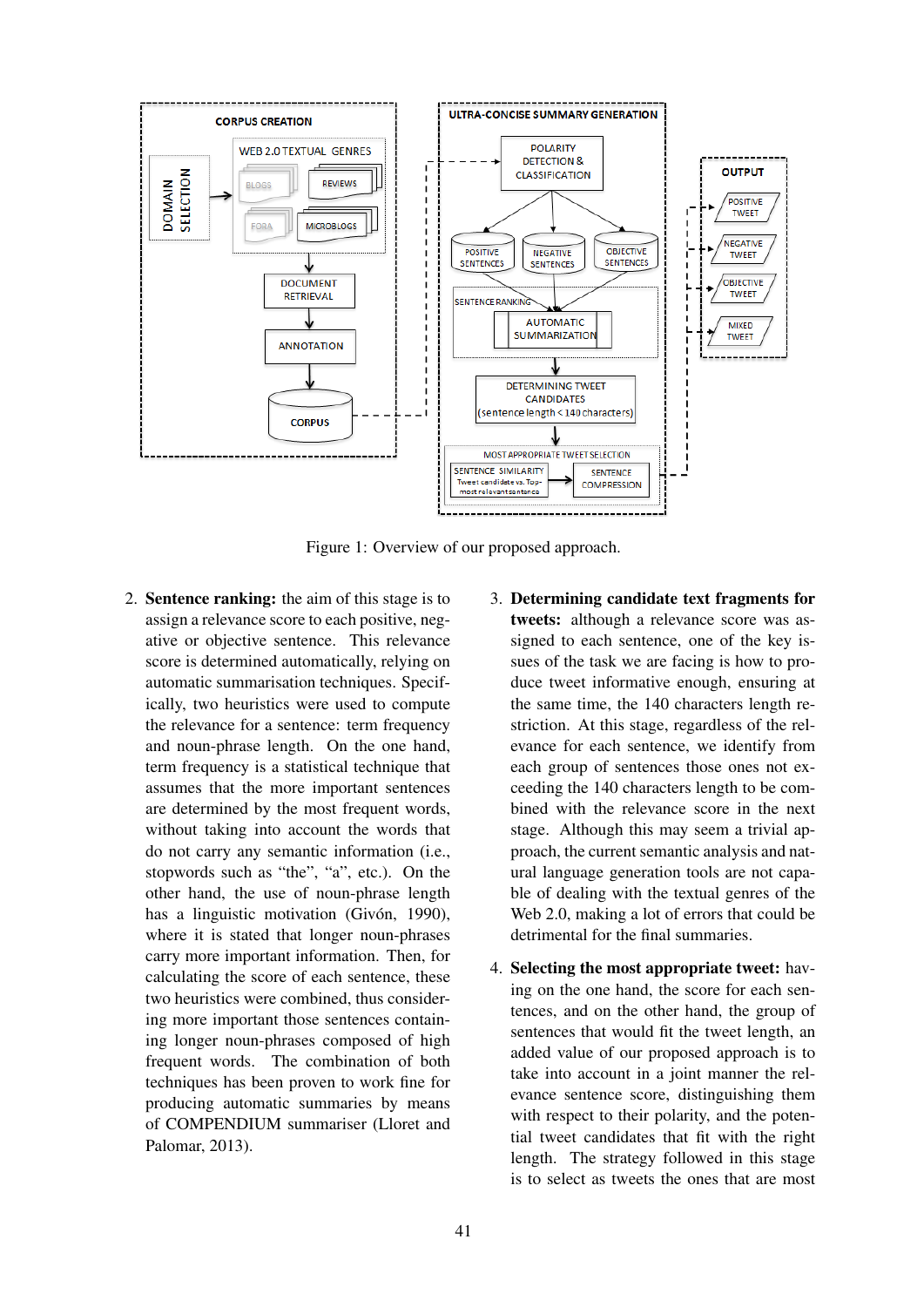

Figure 1: Overview of our proposed approach.

- 2. Sentence ranking: the aim of this stage is to assign a relevance score to each positive, negative or objective sentence. This relevance score is determined automatically, relying on automatic summarisation techniques. Specifically, two heuristics were used to compute the relevance for a sentence: term frequency and noun-phrase length. On the one hand, term frequency is a statistical technique that assumes that the more important sentences are determined by the most frequent words, without taking into account the words that do not carry any semantic information (i.e., stopwords such as "the", "a", etc.). On the other hand, the use of noun-phrase length has a linguistic motivation (Givón, 1990), where it is stated that longer noun-phrases carry more important information. Then, for calculating the score of each sentence, these two heuristics were combined, thus considering more important those sentences containing longer noun-phrases composed of high frequent words. The combination of both techniques has been proven to work fine for producing automatic summaries by means of COMPENDIUM summariser (Lloret and Palomar, 2013).
- 3. Determining candidate text fragments for tweets: although a relevance score was assigned to each sentence, one of the key issues of the task we are facing is how to produce tweet informative enough, ensuring at the same time, the 140 characters length restriction. At this stage, regardless of the relevance for each sentence, we identify from each group of sentences those ones not exceeding the 140 characters length to be combined with the relevance score in the next stage. Although this may seem a trivial approach, the current semantic analysis and natural language generation tools are not capable of dealing with the textual genres of the Web 2.0, making a lot of errors that could be detrimental for the final summaries.
- 4. Selecting the most appropriate tweet: having on the one hand, the score for each sentences, and on the other hand, the group of sentences that would fit the tweet length, an added value of our proposed approach is to take into account in a joint manner the relevance sentence score, distinguishing them with respect to their polarity, and the potential tweet candidates that fit with the right length. The strategy followed in this stage is to select as tweets the ones that are most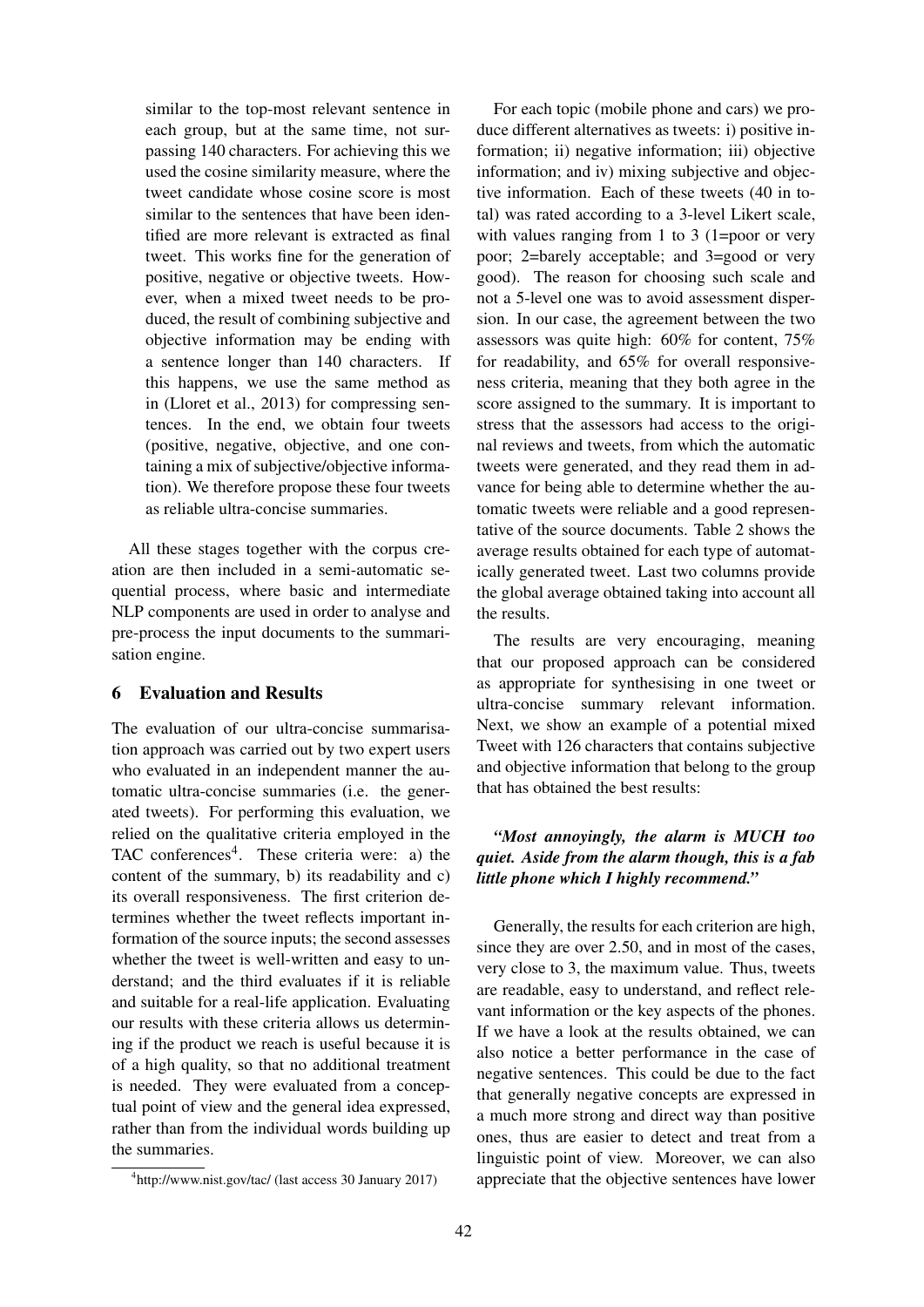similar to the top-most relevant sentence in each group, but at the same time, not surpassing 140 characters. For achieving this we used the cosine similarity measure, where the tweet candidate whose cosine score is most similar to the sentences that have been identified are more relevant is extracted as final tweet. This works fine for the generation of positive, negative or objective tweets. However, when a mixed tweet needs to be produced, the result of combining subjective and objective information may be ending with a sentence longer than 140 characters. If this happens, we use the same method as in (Lloret et al., 2013) for compressing sentences. In the end, we obtain four tweets (positive, negative, objective, and one containing a mix of subjective/objective information). We therefore propose these four tweets as reliable ultra-concise summaries.

All these stages together with the corpus creation are then included in a semi-automatic sequential process, where basic and intermediate NLP components are used in order to analyse and pre-process the input documents to the summarisation engine.

#### 6 Evaluation and Results

The evaluation of our ultra-concise summarisation approach was carried out by two expert users who evaluated in an independent manner the automatic ultra-concise summaries (i.e. the generated tweets). For performing this evaluation, we relied on the qualitative criteria employed in the TAC conferences<sup>4</sup>. These criteria were: a) the content of the summary, b) its readability and c) its overall responsiveness. The first criterion determines whether the tweet reflects important information of the source inputs; the second assesses whether the tweet is well-written and easy to understand; and the third evaluates if it is reliable and suitable for a real-life application. Evaluating our results with these criteria allows us determining if the product we reach is useful because it is of a high quality, so that no additional treatment is needed. They were evaluated from a conceptual point of view and the general idea expressed, rather than from the individual words building up the summaries.

For each topic (mobile phone and cars) we produce different alternatives as tweets: i) positive information; ii) negative information; iii) objective information; and iv) mixing subjective and objective information. Each of these tweets (40 in total) was rated according to a 3-level Likert scale, with values ranging from 1 to 3 (1=poor or very poor; 2=barely acceptable; and 3=good or very good). The reason for choosing such scale and not a 5-level one was to avoid assessment dispersion. In our case, the agreement between the two assessors was quite high: 60% for content, 75% for readability, and 65% for overall responsiveness criteria, meaning that they both agree in the score assigned to the summary. It is important to stress that the assessors had access to the original reviews and tweets, from which the automatic tweets were generated, and they read them in advance for being able to determine whether the automatic tweets were reliable and a good representative of the source documents. Table 2 shows the average results obtained for each type of automatically generated tweet. Last two columns provide the global average obtained taking into account all the results.

The results are very encouraging, meaning that our proposed approach can be considered as appropriate for synthesising in one tweet or ultra-concise summary relevant information. Next, we show an example of a potential mixed Tweet with 126 characters that contains subjective and objective information that belong to the group that has obtained the best results:

## *"Most annoyingly, the alarm is MUCH too quiet. Aside from the alarm though, this is a fab little phone which I highly recommend."*

Generally, the results for each criterion are high, since they are over 2.50, and in most of the cases, very close to 3, the maximum value. Thus, tweets are readable, easy to understand, and reflect relevant information or the key aspects of the phones. If we have a look at the results obtained, we can also notice a better performance in the case of negative sentences. This could be due to the fact that generally negative concepts are expressed in a much more strong and direct way than positive ones, thus are easier to detect and treat from a linguistic point of view. Moreover, we can also appreciate that the objective sentences have lower

<sup>4</sup> http://www.nist.gov/tac/ (last access 30 January 2017)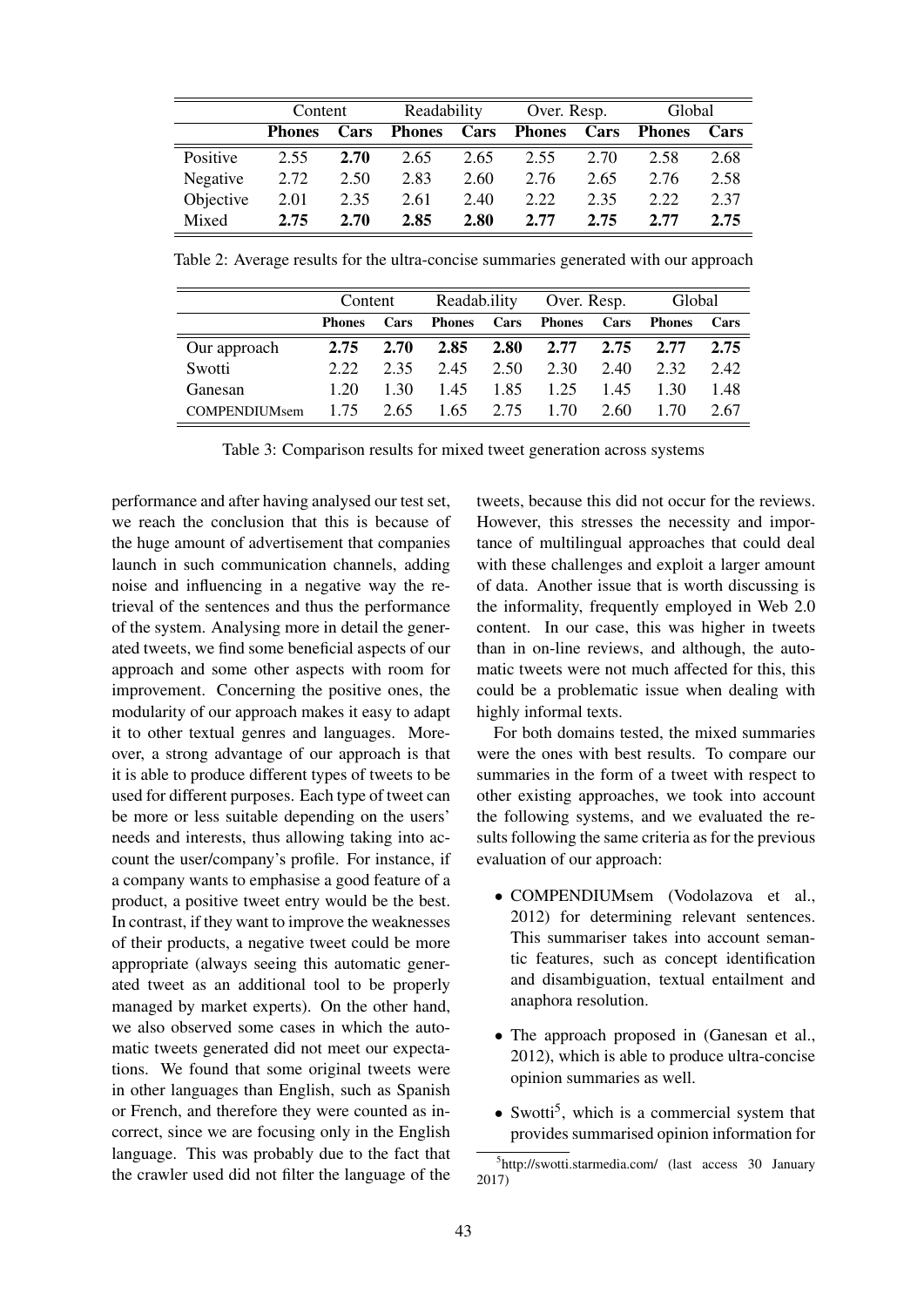|           | Content       |      | Readability   |      | Over. Resp.   |      | Global        |      |
|-----------|---------------|------|---------------|------|---------------|------|---------------|------|
|           | <b>Phones</b> | Cars | <b>Phones</b> | Cars | <b>Phones</b> | Cars | <b>Phones</b> | Cars |
| Positive  | 2.55          | 2.70 | 2.65          | 2.65 | 2.55          | 2.70 | 2.58          | 2.68 |
| Negative  | 2.72          | 2.50 | 2.83          | 2.60 | 2.76          | 2.65 | 2.76          | 2.58 |
| Objective | 2.01          | 2.35 | 2.61          | 2.40 | 2.22          | 2.35 | 2.22          | 2.37 |
| Mixed     | 2.75          | 2.70 | 2.85          | 2.80 | 2.77          | 2.75 | 2.77          | 2.75 |

Table 2: Average results for the ultra-concise summaries generated with our approach

|                      | Content       |      | Readab.ility  |      | Over. Resp. |      | Global        |      |
|----------------------|---------------|------|---------------|------|-------------|------|---------------|------|
|                      | <b>Phones</b> | Cars | <b>Phones</b> | Cars | Phones      | Cars | <b>Phones</b> | Cars |
| Our approach         | 2.75          | 2.70 | 2.85          | 2.80 | 2.77        | 2.75 | 2.77          | 2.75 |
| Swotti               | 2.22          | 2.35 | 2.45          | 2.50 | 2.30        | 2.40 | 2.32          | 2.42 |
| Ganesan              | 1.20          | 1 30 | 1.45          | 1.85 | 1.25        | 1.45 | 1 30          | 1.48 |
| <b>COMPENDIUMsem</b> | 1.75          | 2.65 | 1.65          | 2.75 | 1.70        | 2.60 | 1.70          | 2.67 |

Table 3: Comparison results for mixed tweet generation across systems

performance and after having analysed our test set, we reach the conclusion that this is because of the huge amount of advertisement that companies launch in such communication channels, adding noise and influencing in a negative way the retrieval of the sentences and thus the performance of the system. Analysing more in detail the generated tweets, we find some beneficial aspects of our approach and some other aspects with room for improvement. Concerning the positive ones, the modularity of our approach makes it easy to adapt it to other textual genres and languages. Moreover, a strong advantage of our approach is that it is able to produce different types of tweets to be used for different purposes. Each type of tweet can be more or less suitable depending on the users' needs and interests, thus allowing taking into account the user/company's profile. For instance, if a company wants to emphasise a good feature of a product, a positive tweet entry would be the best. In contrast, if they want to improve the weaknesses of their products, a negative tweet could be more appropriate (always seeing this automatic generated tweet as an additional tool to be properly managed by market experts). On the other hand, we also observed some cases in which the automatic tweets generated did not meet our expectations. We found that some original tweets were in other languages than English, such as Spanish or French, and therefore they were counted as incorrect, since we are focusing only in the English language. This was probably due to the fact that the crawler used did not filter the language of the tweets, because this did not occur for the reviews. However, this stresses the necessity and importance of multilingual approaches that could deal with these challenges and exploit a larger amount of data. Another issue that is worth discussing is the informality, frequently employed in Web 2.0 content. In our case, this was higher in tweets than in on-line reviews, and although, the automatic tweets were not much affected for this, this could be a problematic issue when dealing with highly informal texts.

For both domains tested, the mixed summaries were the ones with best results. To compare our summaries in the form of a tweet with respect to other existing approaches, we took into account the following systems, and we evaluated the results following the same criteria as for the previous evaluation of our approach:

- COMPENDIUMsem (Vodolazova et al., 2012) for determining relevant sentences. This summariser takes into account semantic features, such as concept identification and disambiguation, textual entailment and anaphora resolution.
- The approach proposed in (Ganesan et al., 2012), which is able to produce ultra-concise opinion summaries as well.
- Swotti<sup>5</sup>, which is a commercial system that provides summarised opinion information for

<sup>5</sup> http://swotti.starmedia.com/ (last access 30 January 2017)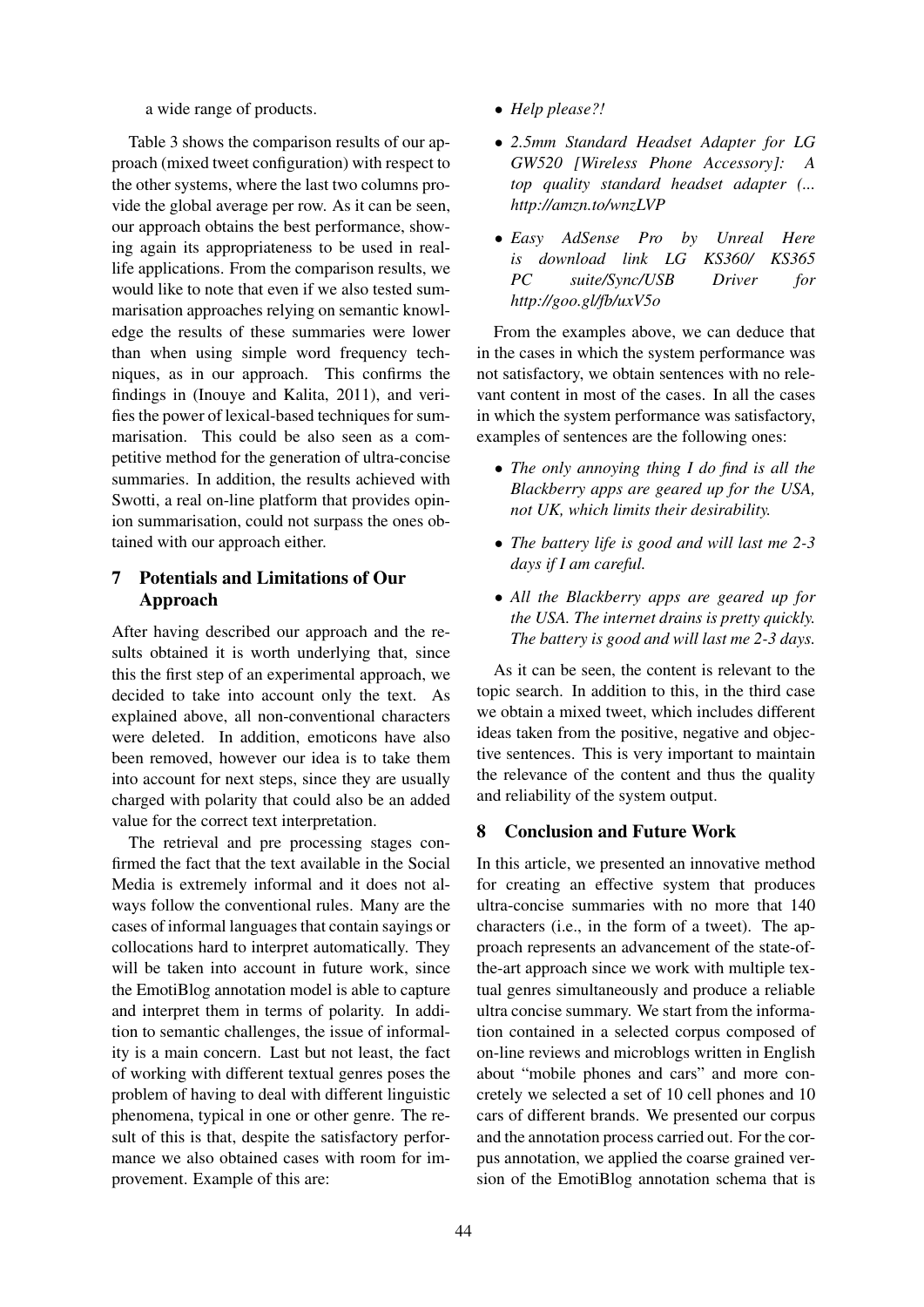a wide range of products.

Table 3 shows the comparison results of our approach (mixed tweet configuration) with respect to the other systems, where the last two columns provide the global average per row. As it can be seen, our approach obtains the best performance, showing again its appropriateness to be used in reallife applications. From the comparison results, we would like to note that even if we also tested summarisation approaches relying on semantic knowledge the results of these summaries were lower than when using simple word frequency techniques, as in our approach. This confirms the findings in (Inouye and Kalita, 2011), and verifies the power of lexical-based techniques for summarisation. This could be also seen as a competitive method for the generation of ultra-concise summaries. In addition, the results achieved with Swotti, a real on-line platform that provides opinion summarisation, could not surpass the ones obtained with our approach either.

## 7 Potentials and Limitations of Our Approach

After having described our approach and the results obtained it is worth underlying that, since this the first step of an experimental approach, we decided to take into account only the text. As explained above, all non-conventional characters were deleted. In addition, emoticons have also been removed, however our idea is to take them into account for next steps, since they are usually charged with polarity that could also be an added value for the correct text interpretation.

The retrieval and pre processing stages confirmed the fact that the text available in the Social Media is extremely informal and it does not always follow the conventional rules. Many are the cases of informal languages that contain sayings or collocations hard to interpret automatically. They will be taken into account in future work, since the EmotiBlog annotation model is able to capture and interpret them in terms of polarity. In addition to semantic challenges, the issue of informality is a main concern. Last but not least, the fact of working with different textual genres poses the problem of having to deal with different linguistic phenomena, typical in one or other genre. The result of this is that, despite the satisfactory performance we also obtained cases with room for improvement. Example of this are:

- *Help please?!*
- *2.5mm Standard Headset Adapter for LG GW520 [Wireless Phone Accessory]: A top quality standard headset adapter (... http://amzn.to/wnzLVP*
- *Easy AdSense Pro by Unreal Here is download link LG KS360/ KS365 PC suite/Sync/USB Driver for http://goo.gl/fb/uxV5o*

From the examples above, we can deduce that in the cases in which the system performance was not satisfactory, we obtain sentences with no relevant content in most of the cases. In all the cases in which the system performance was satisfactory, examples of sentences are the following ones:

- *The only annoying thing I do find is all the Blackberry apps are geared up for the USA, not UK, which limits their desirability.*
- *The battery life is good and will last me 2-3 days if I am careful.*
- *All the Blackberry apps are geared up for the USA. The internet drains is pretty quickly. The battery is good and will last me 2-3 days.*

As it can be seen, the content is relevant to the topic search. In addition to this, in the third case we obtain a mixed tweet, which includes different ideas taken from the positive, negative and objective sentences. This is very important to maintain the relevance of the content and thus the quality and reliability of the system output.

## 8 Conclusion and Future Work

In this article, we presented an innovative method for creating an effective system that produces ultra-concise summaries with no more that 140 characters (i.e., in the form of a tweet). The approach represents an advancement of the state-ofthe-art approach since we work with multiple textual genres simultaneously and produce a reliable ultra concise summary. We start from the information contained in a selected corpus composed of on-line reviews and microblogs written in English about "mobile phones and cars" and more concretely we selected a set of 10 cell phones and 10 cars of different brands. We presented our corpus and the annotation process carried out. For the corpus annotation, we applied the coarse grained version of the EmotiBlog annotation schema that is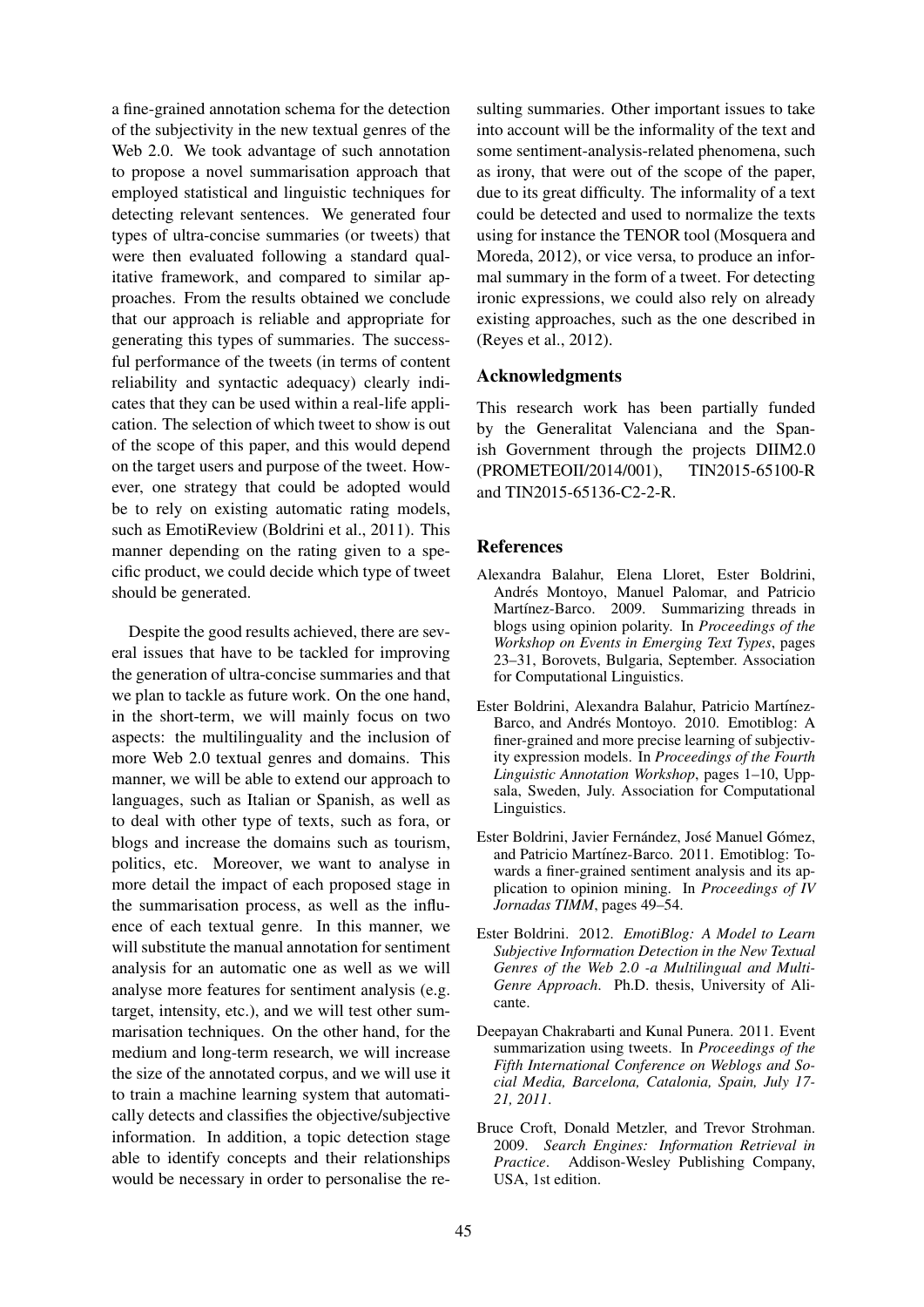a fine-grained annotation schema for the detection of the subjectivity in the new textual genres of the Web 2.0. We took advantage of such annotation to propose a novel summarisation approach that employed statistical and linguistic techniques for detecting relevant sentences. We generated four types of ultra-concise summaries (or tweets) that were then evaluated following a standard qualitative framework, and compared to similar approaches. From the results obtained we conclude that our approach is reliable and appropriate for generating this types of summaries. The successful performance of the tweets (in terms of content reliability and syntactic adequacy) clearly indicates that they can be used within a real-life application. The selection of which tweet to show is out of the scope of this paper, and this would depend on the target users and purpose of the tweet. However, one strategy that could be adopted would be to rely on existing automatic rating models, such as EmotiReview (Boldrini et al., 2011). This manner depending on the rating given to a specific product, we could decide which type of tweet should be generated.

Despite the good results achieved, there are several issues that have to be tackled for improving the generation of ultra-concise summaries and that we plan to tackle as future work. On the one hand, in the short-term, we will mainly focus on two aspects: the multilinguality and the inclusion of more Web 2.0 textual genres and domains. This manner, we will be able to extend our approach to languages, such as Italian or Spanish, as well as to deal with other type of texts, such as fora, or blogs and increase the domains such as tourism, politics, etc. Moreover, we want to analyse in more detail the impact of each proposed stage in the summarisation process, as well as the influence of each textual genre. In this manner, we will substitute the manual annotation for sentiment analysis for an automatic one as well as we will analyse more features for sentiment analysis (e.g. target, intensity, etc.), and we will test other summarisation techniques. On the other hand, for the medium and long-term research, we will increase the size of the annotated corpus, and we will use it to train a machine learning system that automatically detects and classifies the objective/subjective information. In addition, a topic detection stage able to identify concepts and their relationships would be necessary in order to personalise the re-

sulting summaries. Other important issues to take into account will be the informality of the text and some sentiment-analysis-related phenomena, such as irony, that were out of the scope of the paper, due to its great difficulty. The informality of a text could be detected and used to normalize the texts using for instance the TENOR tool (Mosquera and Moreda, 2012), or vice versa, to produce an informal summary in the form of a tweet. For detecting ironic expressions, we could also rely on already existing approaches, such as the one described in (Reyes et al., 2012).

#### Acknowledgments

This research work has been partially funded by the Generalitat Valenciana and the Spanish Government through the projects DIIM2.0 (PROMETEOII/2014/001), TIN2015-65100-R and TIN2015-65136-C2-2-R.

#### References

- Alexandra Balahur, Elena Lloret, Ester Boldrini, Andrés Montoyo, Manuel Palomar, and Patricio Martínez-Barco. 2009. Summarizing threads in blogs using opinion polarity. In *Proceedings of the Workshop on Events in Emerging Text Types*, pages 23–31, Borovets, Bulgaria, September. Association for Computational Linguistics.
- Ester Boldrini, Alexandra Balahur, Patricio Martínez-Barco, and Andrés Montoyo. 2010. Emotiblog: A finer-grained and more precise learning of subjectivity expression models. In *Proceedings of the Fourth Linguistic Annotation Workshop*, pages 1–10, Uppsala, Sweden, July. Association for Computational Linguistics.
- Ester Boldrini, Javier Fernández, José Manuel Gómez, and Patricio Martínez-Barco. 2011. Emotiblog: Towards a finer-grained sentiment analysis and its application to opinion mining. In *Proceedings of IV Jornadas TIMM*, pages 49–54.
- Ester Boldrini. 2012. *EmotiBlog: A Model to Learn Subjective Information Detection in the New Textual Genres of the Web 2.0 -a Multilingual and Multi-Genre Approach*. Ph.D. thesis, University of Alicante.
- Deepayan Chakrabarti and Kunal Punera. 2011. Event summarization using tweets. In *Proceedings of the Fifth International Conference on Weblogs and Social Media, Barcelona, Catalonia, Spain, July 17- 21, 2011*.
- Bruce Croft, Donald Metzler, and Trevor Strohman. 2009. *Search Engines: Information Retrieval in Practice*. Addison-Wesley Publishing Company, USA, 1st edition.